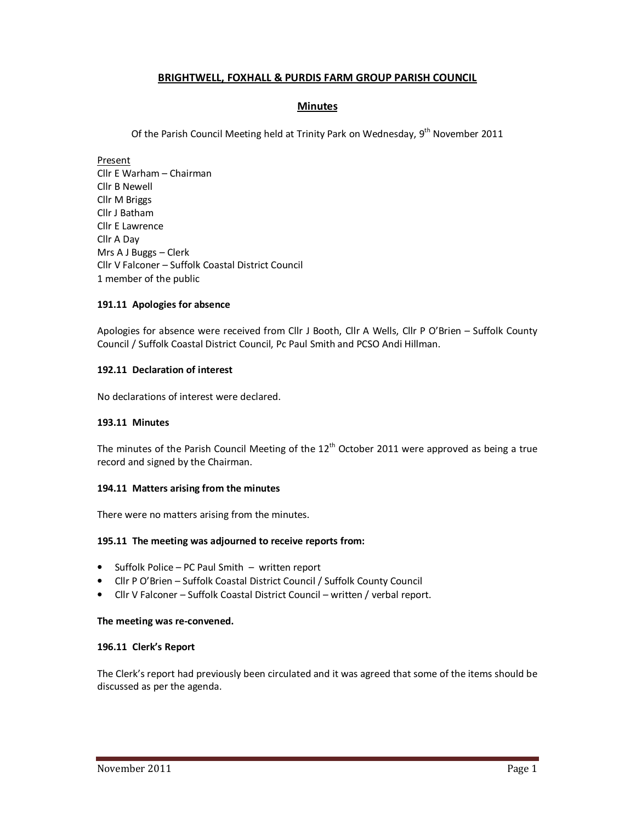# **BRIGHTWELL, FOXHALL & PURDIS FARM GROUP PARISH COUNCIL**

# **Minutes**

Of the Parish Council Meeting held at Trinity Park on Wednesday, 9<sup>th</sup> November 2011

Present Cllr E Warham – Chairman Cllr B Newell Cllr M Briggs Cllr J Batham Cllr E Lawrence Cllr A Day Mrs A J Buggs – Clerk Cllr V Falconer – Suffolk Coastal District Council 1 member of the public

## **191.11 Apologies for absence**

Apologies for absence were received from Cllr J Booth, Cllr A Wells, Cllr P O'Brien – Suffolk County Council / Suffolk Coastal District Council, Pc Paul Smith and PCSO Andi Hillman.

### **192.11 Declaration of interest**

No declarations of interest were declared.

#### **193.11 Minutes**

The minutes of the Parish Council Meeting of the  $12<sup>th</sup>$  October 2011 were approved as being a true record and signed by the Chairman.

#### **194.11 Matters arising from the minutes**

There were no matters arising from the minutes.

#### **195.11 The meeting was adjourned to receive reports from:**

- Suffolk Police PC Paul Smith written report
- Cllr P O'Brien Suffolk Coastal District Council / Suffolk County Council
- Cllr V Falconer Suffolk Coastal District Council written / verbal report.

#### **The meeting was re-convened.**

#### **196.11 Clerk's Report**

The Clerk's report had previously been circulated and it was agreed that some of the items should be discussed as per the agenda.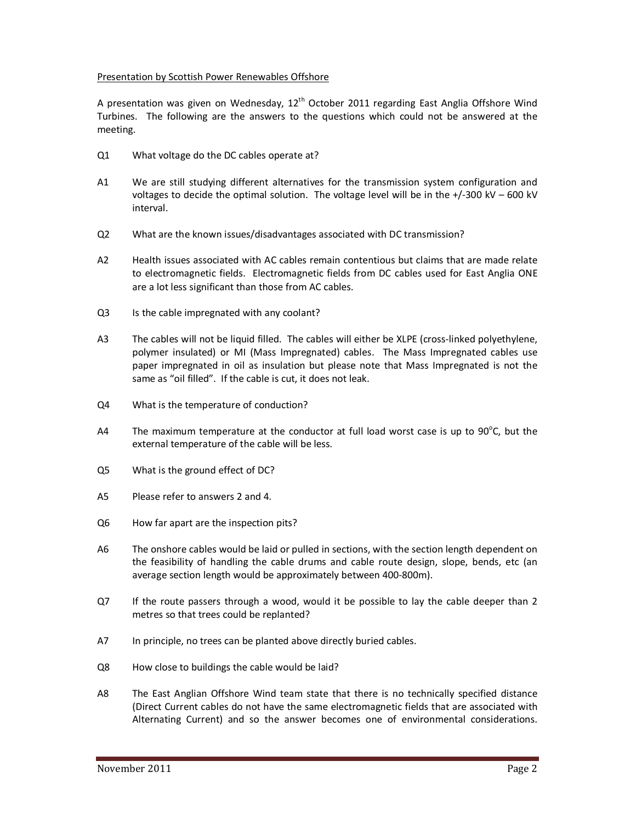### Presentation by Scottish Power Renewables Offshore

A presentation was given on Wednesday,  $12<sup>th</sup>$  October 2011 regarding East Anglia Offshore Wind Turbines. The following are the answers to the questions which could not be answered at the meeting.

- Q1 What voltage do the DC cables operate at?
- A1 We are still studying different alternatives for the transmission system configuration and voltages to decide the optimal solution. The voltage level will be in the  $+/-300$  kV – 600 kV interval.
- Q2 What are the known issues/disadvantages associated with DC transmission?
- A2 Health issues associated with AC cables remain contentious but claims that are made relate to electromagnetic fields. Electromagnetic fields from DC cables used for East Anglia ONE are a lot less significant than those from AC cables.
- Q3 Is the cable impregnated with any coolant?
- A3 The cables will not be liquid filled. The cables will either be XLPE (cross-linked polyethylene, polymer insulated) or MI (Mass Impregnated) cables. The Mass Impregnated cables use paper impregnated in oil as insulation but please note that Mass Impregnated is not the same as "oil filled". If the cable is cut, it does not leak.
- Q4 What is the temperature of conduction?
- A4 The maximum temperature at the conductor at full load worst case is up to 90 $^{\circ}$ C, but the external temperature of the cable will be less.
- Q5 What is the ground effect of DC?
- A5 Please refer to answers 2 and 4.
- Q6 How far apart are the inspection pits?
- A6 The onshore cables would be laid or pulled in sections, with the section length dependent on the feasibility of handling the cable drums and cable route design, slope, bends, etc (an average section length would be approximately between 400-800m).
- Q7 If the route passers through a wood, would it be possible to lay the cable deeper than 2 metres so that trees could be replanted?
- A7 In principle, no trees can be planted above directly buried cables.
- Q8 How close to buildings the cable would be laid?
- A8 The East Anglian Offshore Wind team state that there is no technically specified distance (Direct Current cables do not have the same electromagnetic fields that are associated with Alternating Current) and so the answer becomes one of environmental considerations.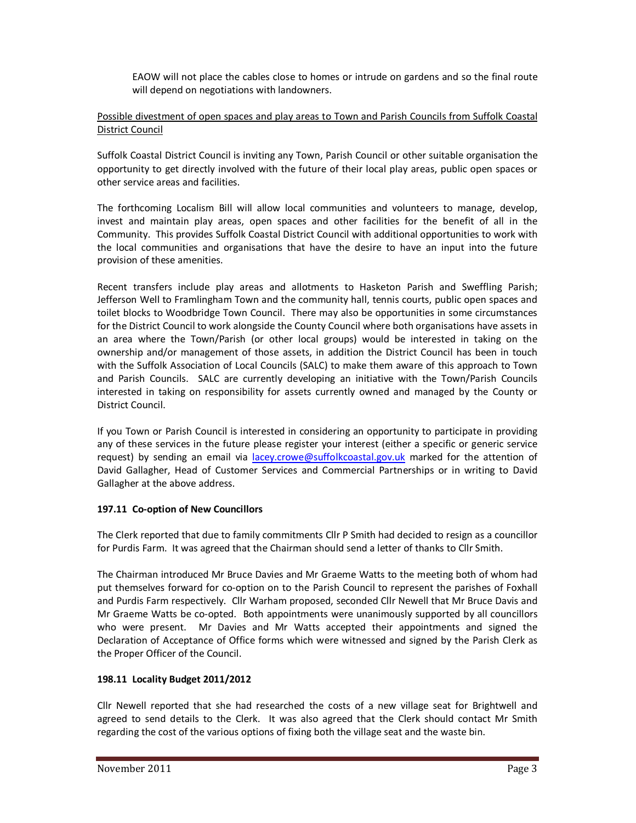EAOW will not place the cables close to homes or intrude on gardens and so the final route will depend on negotiations with landowners.

# Possible divestment of open spaces and play areas to Town and Parish Councils from Suffolk Coastal District Council

Suffolk Coastal District Council is inviting any Town, Parish Council or other suitable organisation the opportunity to get directly involved with the future of their local play areas, public open spaces or other service areas and facilities.

The forthcoming Localism Bill will allow local communities and volunteers to manage, develop, invest and maintain play areas, open spaces and other facilities for the benefit of all in the Community. This provides Suffolk Coastal District Council with additional opportunities to work with the local communities and organisations that have the desire to have an input into the future provision of these amenities.

Recent transfers include play areas and allotments to Hasketon Parish and Sweffling Parish; Jefferson Well to Framlingham Town and the community hall, tennis courts, public open spaces and toilet blocks to Woodbridge Town Council. There may also be opportunities in some circumstances for the District Council to work alongside the County Council where both organisations have assets in an area where the Town/Parish (or other local groups) would be interested in taking on the ownership and/or management of those assets, in addition the District Council has been in touch with the Suffolk Association of Local Councils (SALC) to make them aware of this approach to Town and Parish Councils. SALC are currently developing an initiative with the Town/Parish Councils interested in taking on responsibility for assets currently owned and managed by the County or District Council.

If you Town or Parish Council is interested in considering an opportunity to participate in providing any of these services in the future please register your interest (either a specific or generic service request) by sending an email via lacey.crowe@suffolkcoastal.gov.uk marked for the attention of David Gallagher, Head of Customer Services and Commercial Partnerships or in writing to David Gallagher at the above address.

## **197.11 Co-option of New Councillors**

The Clerk reported that due to family commitments Cllr P Smith had decided to resign as a councillor for Purdis Farm. It was agreed that the Chairman should send a letter of thanks to Cllr Smith.

The Chairman introduced Mr Bruce Davies and Mr Graeme Watts to the meeting both of whom had put themselves forward for co-option on to the Parish Council to represent the parishes of Foxhall and Purdis Farm respectively. Cllr Warham proposed, seconded Cllr Newell that Mr Bruce Davis and Mr Graeme Watts be co-opted. Both appointments were unanimously supported by all councillors who were present. Mr Davies and Mr Watts accepted their appointments and signed the Declaration of Acceptance of Office forms which were witnessed and signed by the Parish Clerk as the Proper Officer of the Council.

## **198.11 Locality Budget 2011/2012**

Cllr Newell reported that she had researched the costs of a new village seat for Brightwell and agreed to send details to the Clerk. It was also agreed that the Clerk should contact Mr Smith regarding the cost of the various options of fixing both the village seat and the waste bin.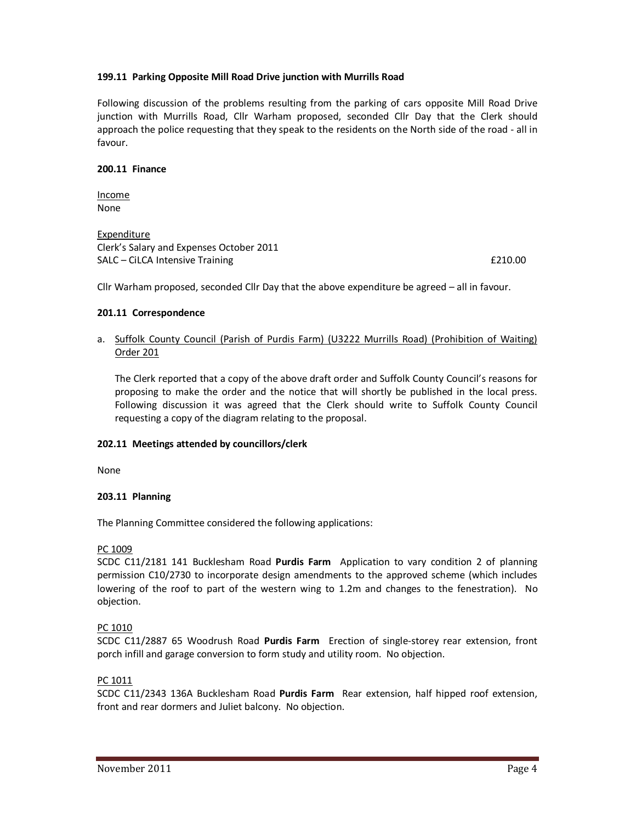### **199.11 Parking Opposite Mill Road Drive junction with Murrills Road**

Following discussion of the problems resulting from the parking of cars opposite Mill Road Drive junction with Murrills Road, Cllr Warham proposed, seconded Cllr Day that the Clerk should approach the police requesting that they speak to the residents on the North side of the road - all in favour.

#### **200.11 Finance**

Income None

Expenditure Clerk's Salary and Expenses October 2011 SALC – CiLCA Intensive Training **EXALC** – CiLCA Intensive Training **EXALC** – CiLCA Intensive Training

Cllr Warham proposed, seconded Cllr Day that the above expenditure be agreed – all in favour.

### **201.11 Correspondence**

## a. Suffolk County Council (Parish of Purdis Farm) (U3222 Murrills Road) (Prohibition of Waiting) Order 201

The Clerk reported that a copy of the above draft order and Suffolk County Council's reasons for proposing to make the order and the notice that will shortly be published in the local press. Following discussion it was agreed that the Clerk should write to Suffolk County Council requesting a copy of the diagram relating to the proposal.

#### **202.11 Meetings attended by councillors/clerk**

None

## **203.11 Planning**

The Planning Committee considered the following applications:

## PC 1009

SCDC C11/2181 141 Bucklesham Road **Purdis Farm** Application to vary condition 2 of planning permission C10/2730 to incorporate design amendments to the approved scheme (which includes lowering of the roof to part of the western wing to 1.2m and changes to the fenestration). No objection.

## PC 1010

SCDC C11/2887 65 Woodrush Road **Purdis Farm** Erection of single-storey rear extension, front porch infill and garage conversion to form study and utility room. No objection.

#### PC 1011

SCDC C11/2343 136A Bucklesham Road **Purdis Farm** Rear extension, half hipped roof extension, front and rear dormers and Juliet balcony. No objection.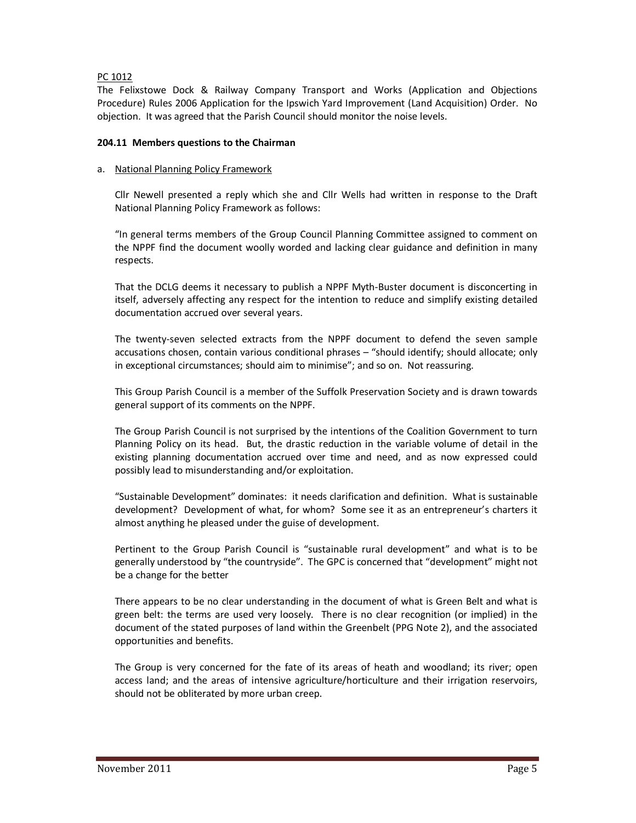## PC 1012

The Felixstowe Dock & Railway Company Transport and Works (Application and Objections Procedure) Rules 2006 Application for the Ipswich Yard Improvement (Land Acquisition) Order. No objection. It was agreed that the Parish Council should monitor the noise levels.

### **204.11 Members questions to the Chairman**

### a. National Planning Policy Framework

Cllr Newell presented a reply which she and Cllr Wells had written in response to the Draft National Planning Policy Framework as follows:

"In general terms members of the Group Council Planning Committee assigned to comment on the NPPF find the document woolly worded and lacking clear guidance and definition in many respects.

That the DCLG deems it necessary to publish a NPPF Myth-Buster document is disconcerting in itself, adversely affecting any respect for the intention to reduce and simplify existing detailed documentation accrued over several years.

The twenty-seven selected extracts from the NPPF document to defend the seven sample accusations chosen, contain various conditional phrases – "should identify; should allocate; only in exceptional circumstances; should aim to minimise"; and so on. Not reassuring.

This Group Parish Council is a member of the Suffolk Preservation Society and is drawn towards general support of its comments on the NPPF.

The Group Parish Council is not surprised by the intentions of the Coalition Government to turn Planning Policy on its head. But, the drastic reduction in the variable volume of detail in the existing planning documentation accrued over time and need, and as now expressed could possibly lead to misunderstanding and/or exploitation.

"Sustainable Development" dominates: it needs clarification and definition. What is sustainable development? Development of what, for whom? Some see it as an entrepreneur's charters it almost anything he pleased under the guise of development.

Pertinent to the Group Parish Council is "sustainable rural development" and what is to be generally understood by "the countryside". The GPC is concerned that "development" might not be a change for the better

There appears to be no clear understanding in the document of what is Green Belt and what is green belt: the terms are used very loosely. There is no clear recognition (or implied) in the document of the stated purposes of land within the Greenbelt (PPG Note 2), and the associated opportunities and benefits.

The Group is very concerned for the fate of its areas of heath and woodland; its river; open access land; and the areas of intensive agriculture/horticulture and their irrigation reservoirs, should not be obliterated by more urban creep.